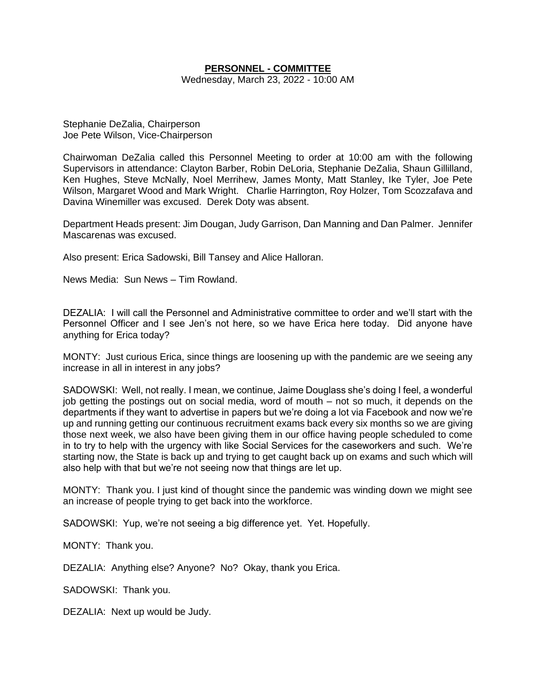# **PERSONNEL - COMMITTEE**

Wednesday, March 23, 2022 - 10:00 AM

Stephanie DeZalia, Chairperson Joe Pete Wilson, Vice-Chairperson

Chairwoman DeZalia called this Personnel Meeting to order at 10:00 am with the following Supervisors in attendance: Clayton Barber, Robin DeLoria, Stephanie DeZalia, Shaun Gillilland, Ken Hughes, Steve McNally, Noel Merrihew, James Monty, Matt Stanley, Ike Tyler, Joe Pete Wilson, Margaret Wood and Mark Wright. Charlie Harrington, Roy Holzer, Tom Scozzafava and Davina Winemiller was excused. Derek Doty was absent.

Department Heads present: Jim Dougan, Judy Garrison, Dan Manning and Dan Palmer. Jennifer Mascarenas was excused.

Also present: Erica Sadowski, Bill Tansey and Alice Halloran.

News Media: Sun News – Tim Rowland.

DEZALIA: I will call the Personnel and Administrative committee to order and we'll start with the Personnel Officer and I see Jen's not here, so we have Erica here today. Did anyone have anything for Erica today?

MONTY: Just curious Erica, since things are loosening up with the pandemic are we seeing any increase in all in interest in any jobs?

SADOWSKI: Well, not really. I mean, we continue, Jaime Douglass she's doing I feel, a wonderful job getting the postings out on social media, word of mouth – not so much, it depends on the departments if they want to advertise in papers but we're doing a lot via Facebook and now we're up and running getting our continuous recruitment exams back every six months so we are giving those next week, we also have been giving them in our office having people scheduled to come in to try to help with the urgency with like Social Services for the caseworkers and such. We're starting now, the State is back up and trying to get caught back up on exams and such which will also help with that but we're not seeing now that things are let up.

MONTY: Thank you. I just kind of thought since the pandemic was winding down we might see an increase of people trying to get back into the workforce.

SADOWSKI: Yup, we're not seeing a big difference yet. Yet. Hopefully.

MONTY: Thank you.

DEZALIA: Anything else? Anyone? No? Okay, thank you Erica.

SADOWSKI: Thank you.

DEZALIA: Next up would be Judy.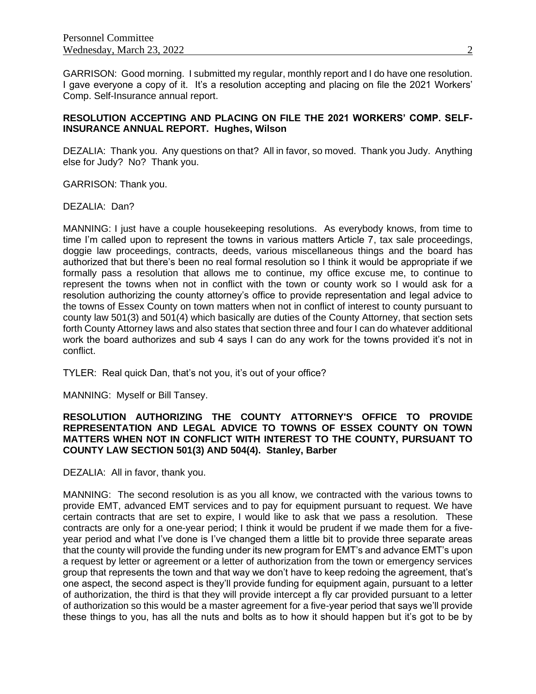GARRISON: Good morning. I submitted my regular, monthly report and I do have one resolution. I gave everyone a copy of it. It's a resolution accepting and placing on file the 2021 Workers' Comp. Self-Insurance annual report.

# **RESOLUTION ACCEPTING AND PLACING ON FILE THE 2021 WORKERS' COMP. SELF-INSURANCE ANNUAL REPORT. Hughes, Wilson**

DEZALIA: Thank you. Any questions on that? All in favor, so moved. Thank you Judy. Anything else for Judy? No? Thank you.

GARRISON: Thank you.

DEZALIA: Dan?

MANNING: I just have a couple housekeeping resolutions. As everybody knows, from time to time I'm called upon to represent the towns in various matters Article 7, tax sale proceedings, doggie law proceedings, contracts, deeds, various miscellaneous things and the board has authorized that but there's been no real formal resolution so I think it would be appropriate if we formally pass a resolution that allows me to continue, my office excuse me, to continue to represent the towns when not in conflict with the town or county work so I would ask for a resolution authorizing the county attorney's office to provide representation and legal advice to the towns of Essex County on town matters when not in conflict of interest to county pursuant to county law 501(3) and 501(4) which basically are duties of the County Attorney, that section sets forth County Attorney laws and also states that section three and four I can do whatever additional work the board authorizes and sub 4 says I can do any work for the towns provided it's not in conflict.

TYLER: Real quick Dan, that's not you, it's out of your office?

MANNING: Myself or Bill Tansey.

# **RESOLUTION AUTHORIZING THE COUNTY ATTORNEY'S OFFICE TO PROVIDE REPRESENTATION AND LEGAL ADVICE TO TOWNS OF ESSEX COUNTY ON TOWN MATTERS WHEN NOT IN CONFLICT WITH INTEREST TO THE COUNTY, PURSUANT TO COUNTY LAW SECTION 501(3) AND 504(4). Stanley, Barber**

DEZALIA: All in favor, thank you.

MANNING: The second resolution is as you all know, we contracted with the various towns to provide EMT, advanced EMT services and to pay for equipment pursuant to request. We have certain contracts that are set to expire, I would like to ask that we pass a resolution. These contracts are only for a one-year period; I think it would be prudent if we made them for a fiveyear period and what I've done is I've changed them a little bit to provide three separate areas that the county will provide the funding under its new program for EMT's and advance EMT's upon a request by letter or agreement or a letter of authorization from the town or emergency services group that represents the town and that way we don't have to keep redoing the agreement, that's one aspect, the second aspect is they'll provide funding for equipment again, pursuant to a letter of authorization, the third is that they will provide intercept a fly car provided pursuant to a letter of authorization so this would be a master agreement for a five-year period that says we'll provide these things to you, has all the nuts and bolts as to how it should happen but it's got to be by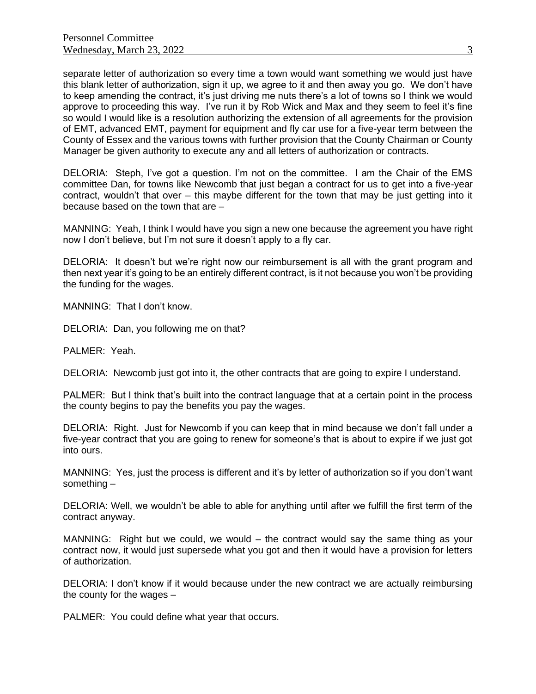separate letter of authorization so every time a town would want something we would just have this blank letter of authorization, sign it up, we agree to it and then away you go. We don't have to keep amending the contract, it's just driving me nuts there's a lot of towns so I think we would approve to proceeding this way. I've run it by Rob Wick and Max and they seem to feel it's fine so would I would like is a resolution authorizing the extension of all agreements for the provision of EMT, advanced EMT, payment for equipment and fly car use for a five-year term between the County of Essex and the various towns with further provision that the County Chairman or County Manager be given authority to execute any and all letters of authorization or contracts.

DELORIA: Steph, I've got a question. I'm not on the committee. I am the Chair of the EMS committee Dan, for towns like Newcomb that just began a contract for us to get into a five-year contract, wouldn't that over – this maybe different for the town that may be just getting into it because based on the town that are –

MANNING: Yeah, I think I would have you sign a new one because the agreement you have right now I don't believe, but I'm not sure it doesn't apply to a fly car.

DELORIA: It doesn't but we're right now our reimbursement is all with the grant program and then next year it's going to be an entirely different contract, is it not because you won't be providing the funding for the wages.

MANNING: That I don't know.

DELORIA: Dan, you following me on that?

PALMER: Yeah.

DELORIA: Newcomb just got into it, the other contracts that are going to expire I understand.

PALMER: But I think that's built into the contract language that at a certain point in the process the county begins to pay the benefits you pay the wages.

DELORIA: Right. Just for Newcomb if you can keep that in mind because we don't fall under a five-year contract that you are going to renew for someone's that is about to expire if we just got into ours.

MANNING: Yes, just the process is different and it's by letter of authorization so if you don't want something –

DELORIA: Well, we wouldn't be able to able for anything until after we fulfill the first term of the contract anyway.

MANNING: Right but we could, we would – the contract would say the same thing as your contract now, it would just supersede what you got and then it would have a provision for letters of authorization.

DELORIA: I don't know if it would because under the new contract we are actually reimbursing the county for the wages –

PALMER: You could define what year that occurs.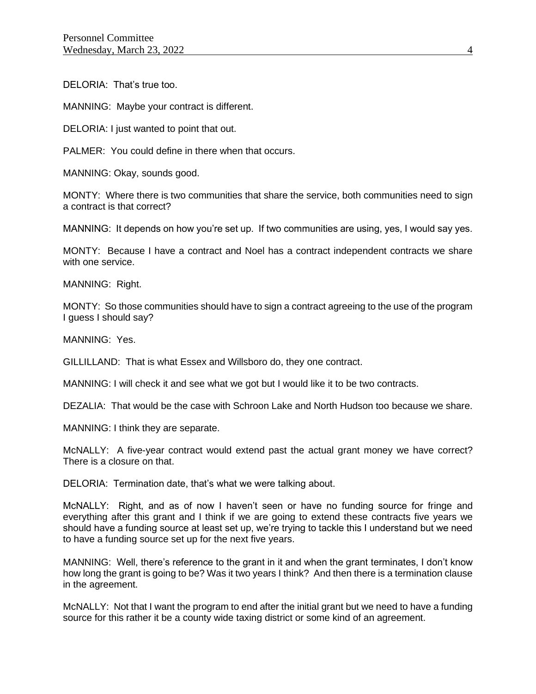DELORIA: That's true too.

MANNING: Maybe your contract is different.

DELORIA: I just wanted to point that out.

PALMER: You could define in there when that occurs.

MANNING: Okay, sounds good.

MONTY: Where there is two communities that share the service, both communities need to sign a contract is that correct?

MANNING: It depends on how you're set up. If two communities are using, yes, I would say yes.

MONTY: Because I have a contract and Noel has a contract independent contracts we share with one service.

MANNING: Right.

MONTY: So those communities should have to sign a contract agreeing to the use of the program I guess I should say?

MANNING: Yes.

GILLILLAND: That is what Essex and Willsboro do, they one contract.

MANNING: I will check it and see what we got but I would like it to be two contracts.

DEZALIA: That would be the case with Schroon Lake and North Hudson too because we share.

MANNING: I think they are separate.

McNALLY: A five-year contract would extend past the actual grant money we have correct? There is a closure on that.

DELORIA: Termination date, that's what we were talking about.

McNALLY: Right, and as of now I haven't seen or have no funding source for fringe and everything after this grant and I think if we are going to extend these contracts five years we should have a funding source at least set up, we're trying to tackle this I understand but we need to have a funding source set up for the next five years.

MANNING: Well, there's reference to the grant in it and when the grant terminates, I don't know how long the grant is going to be? Was it two years I think? And then there is a termination clause in the agreement.

McNALLY: Not that I want the program to end after the initial grant but we need to have a funding source for this rather it be a county wide taxing district or some kind of an agreement.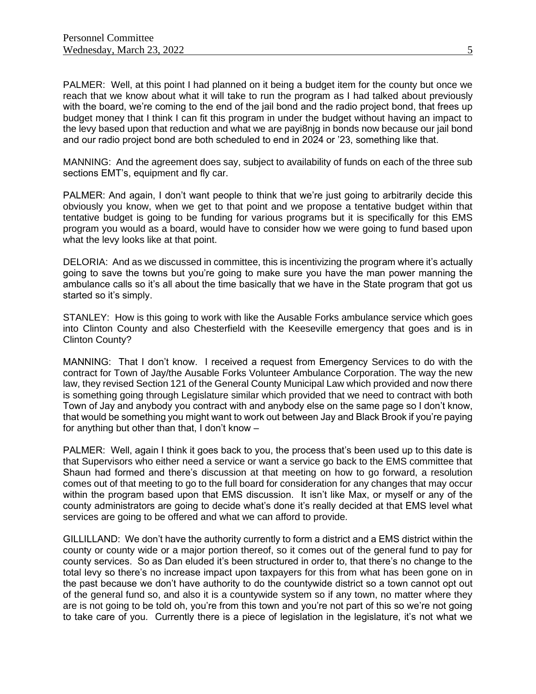PALMER: Well, at this point I had planned on it being a budget item for the county but once we reach that we know about what it will take to run the program as I had talked about previously with the board, we're coming to the end of the jail bond and the radio project bond, that frees up budget money that I think I can fit this program in under the budget without having an impact to the levy based upon that reduction and what we are payi8njg in bonds now because our jail bond and our radio project bond are both scheduled to end in 2024 or '23, something like that.

MANNING: And the agreement does say, subject to availability of funds on each of the three sub sections EMT's, equipment and fly car.

PALMER: And again, I don't want people to think that we're just going to arbitrarily decide this obviously you know, when we get to that point and we propose a tentative budget within that tentative budget is going to be funding for various programs but it is specifically for this EMS program you would as a board, would have to consider how we were going to fund based upon what the levy looks like at that point.

DELORIA: And as we discussed in committee, this is incentivizing the program where it's actually going to save the towns but you're going to make sure you have the man power manning the ambulance calls so it's all about the time basically that we have in the State program that got us started so it's simply.

STANLEY: How is this going to work with like the Ausable Forks ambulance service which goes into Clinton County and also Chesterfield with the Keeseville emergency that goes and is in Clinton County?

MANNING: That I don't know. I received a request from Emergency Services to do with the contract for Town of Jay/the Ausable Forks Volunteer Ambulance Corporation. The way the new law, they revised Section 121 of the General County Municipal Law which provided and now there is something going through Legislature similar which provided that we need to contract with both Town of Jay and anybody you contract with and anybody else on the same page so I don't know, that would be something you might want to work out between Jay and Black Brook if you're paying for anything but other than that, I don't know –

PALMER: Well, again I think it goes back to you, the process that's been used up to this date is that Supervisors who either need a service or want a service go back to the EMS committee that Shaun had formed and there's discussion at that meeting on how to go forward, a resolution comes out of that meeting to go to the full board for consideration for any changes that may occur within the program based upon that EMS discussion. It isn't like Max, or myself or any of the county administrators are going to decide what's done it's really decided at that EMS level what services are going to be offered and what we can afford to provide.

GILLILLAND: We don't have the authority currently to form a district and a EMS district within the county or county wide or a major portion thereof, so it comes out of the general fund to pay for county services. So as Dan eluded it's been structured in order to, that there's no change to the total levy so there's no increase impact upon taxpayers for this from what has been gone on in the past because we don't have authority to do the countywide district so a town cannot opt out of the general fund so, and also it is a countywide system so if any town, no matter where they are is not going to be told oh, you're from this town and you're not part of this so we're not going to take care of you. Currently there is a piece of legislation in the legislature, it's not what we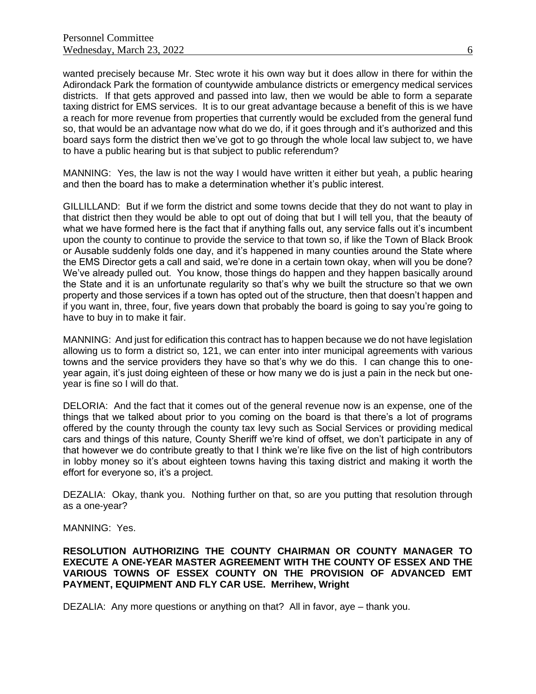wanted precisely because Mr. Stec wrote it his own way but it does allow in there for within the Adirondack Park the formation of countywide ambulance districts or emergency medical services districts. If that gets approved and passed into law, then we would be able to form a separate taxing district for EMS services. It is to our great advantage because a benefit of this is we have a reach for more revenue from properties that currently would be excluded from the general fund so, that would be an advantage now what do we do, if it goes through and it's authorized and this board says form the district then we've got to go through the whole local law subject to, we have to have a public hearing but is that subject to public referendum?

MANNING: Yes, the law is not the way I would have written it either but yeah, a public hearing and then the board has to make a determination whether it's public interest.

GILLILLAND: But if we form the district and some towns decide that they do not want to play in that district then they would be able to opt out of doing that but I will tell you, that the beauty of what we have formed here is the fact that if anything falls out, any service falls out it's incumbent upon the county to continue to provide the service to that town so, if like the Town of Black Brook or Ausable suddenly folds one day, and it's happened in many counties around the State where the EMS Director gets a call and said, we're done in a certain town okay, when will you be done? We've already pulled out. You know, those things do happen and they happen basically around the State and it is an unfortunate regularity so that's why we built the structure so that we own property and those services if a town has opted out of the structure, then that doesn't happen and if you want in, three, four, five years down that probably the board is going to say you're going to have to buy in to make it fair.

MANNING: And just for edification this contract has to happen because we do not have legislation allowing us to form a district so, 121, we can enter into inter municipal agreements with various towns and the service providers they have so that's why we do this. I can change this to oneyear again, it's just doing eighteen of these or how many we do is just a pain in the neck but oneyear is fine so I will do that.

DELORIA: And the fact that it comes out of the general revenue now is an expense, one of the things that we talked about prior to you coming on the board is that there's a lot of programs offered by the county through the county tax levy such as Social Services or providing medical cars and things of this nature, County Sheriff we're kind of offset, we don't participate in any of that however we do contribute greatly to that I think we're like five on the list of high contributors in lobby money so it's about eighteen towns having this taxing district and making it worth the effort for everyone so, it's a project.

DEZALIA: Okay, thank you. Nothing further on that, so are you putting that resolution through as a one-year?

MANNING: Yes.

#### **RESOLUTION AUTHORIZING THE COUNTY CHAIRMAN OR COUNTY MANAGER TO EXECUTE A ONE-YEAR MASTER AGREEMENT WITH THE COUNTY OF ESSEX AND THE VARIOUS TOWNS OF ESSEX COUNTY ON THE PROVISION OF ADVANCED EMT PAYMENT, EQUIPMENT AND FLY CAR USE. Merrihew, Wright**

DEZALIA: Any more questions or anything on that? All in favor, aye – thank you.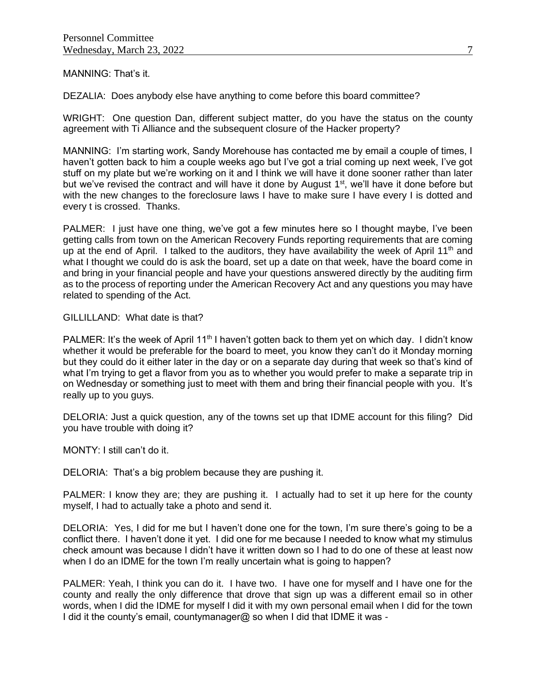# MANNING: That's it.

DEZALIA: Does anybody else have anything to come before this board committee?

WRIGHT: One question Dan, different subject matter, do you have the status on the county agreement with Ti Alliance and the subsequent closure of the Hacker property?

MANNING: I'm starting work, Sandy Morehouse has contacted me by email a couple of times, I haven't gotten back to him a couple weeks ago but I've got a trial coming up next week, I've got stuff on my plate but we're working on it and I think we will have it done sooner rather than later but we've revised the contract and will have it done by August 1<sup>st</sup>, we'll have it done before but with the new changes to the foreclosure laws I have to make sure I have every I is dotted and every t is crossed. Thanks.

PALMER: I just have one thing, we've got a few minutes here so I thought maybe, I've been getting calls from town on the American Recovery Funds reporting requirements that are coming up at the end of April. I talked to the auditors, they have availability the week of April 11<sup>th</sup> and what I thought we could do is ask the board, set up a date on that week, have the board come in and bring in your financial people and have your questions answered directly by the auditing firm as to the process of reporting under the American Recovery Act and any questions you may have related to spending of the Act.

#### GILLILLAND: What date is that?

PALMER: It's the week of April 11<sup>th</sup> I haven't gotten back to them yet on which day. I didn't know whether it would be preferable for the board to meet, you know they can't do it Monday morning but they could do it either later in the day or on a separate day during that week so that's kind of what I'm trying to get a flavor from you as to whether you would prefer to make a separate trip in on Wednesday or something just to meet with them and bring their financial people with you. It's really up to you guys.

DELORIA: Just a quick question, any of the towns set up that IDME account for this filing? Did you have trouble with doing it?

MONTY: I still can't do it.

DELORIA: That's a big problem because they are pushing it.

PALMER: I know they are; they are pushing it. I actually had to set it up here for the county myself, I had to actually take a photo and send it.

DELORIA: Yes, I did for me but I haven't done one for the town, I'm sure there's going to be a conflict there. I haven't done it yet. I did one for me because I needed to know what my stimulus check amount was because I didn't have it written down so I had to do one of these at least now when I do an IDME for the town I'm really uncertain what is going to happen?

PALMER: Yeah, I think you can do it. I have two. I have one for myself and I have one for the county and really the only difference that drove that sign up was a different email so in other words, when I did the IDME for myself I did it with my own personal email when I did for the town I did it the county's email, countymanager@ so when I did that IDME it was -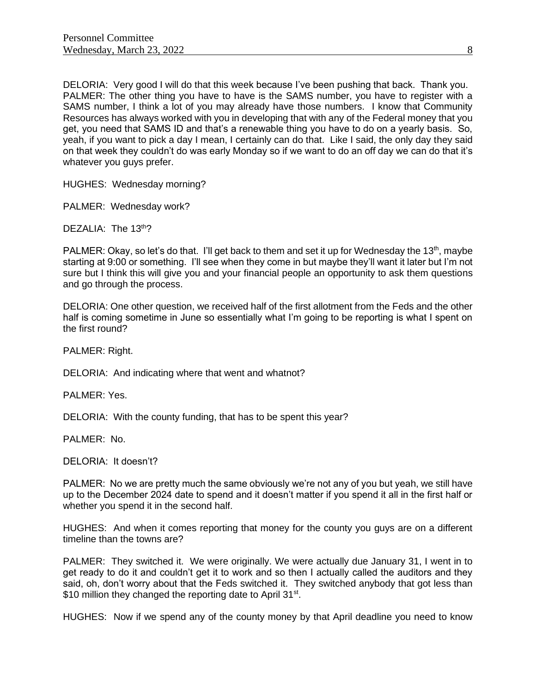DELORIA: Very good I will do that this week because I've been pushing that back. Thank you. PALMER: The other thing you have to have is the SAMS number, you have to register with a SAMS number, I think a lot of you may already have those numbers. I know that Community Resources has always worked with you in developing that with any of the Federal money that you get, you need that SAMS ID and that's a renewable thing you have to do on a yearly basis. So, yeah, if you want to pick a day I mean, I certainly can do that. Like I said, the only day they said on that week they couldn't do was early Monday so if we want to do an off day we can do that it's whatever you guys prefer.

HUGHES: Wednesday morning?

PALMER: Wednesday work?

DEZALIA: The 13<sup>th</sup>?

PALMER: Okay, so let's do that. I'll get back to them and set it up for Wednesday the 13<sup>th</sup>, maybe starting at 9:00 or something. I'll see when they come in but maybe they'll want it later but I'm not sure but I think this will give you and your financial people an opportunity to ask them questions and go through the process.

DELORIA: One other question, we received half of the first allotment from the Feds and the other half is coming sometime in June so essentially what I'm going to be reporting is what I spent on the first round?

PALMER: Right.

DELORIA: And indicating where that went and whatnot?

PALMER: Yes.

DELORIA: With the county funding, that has to be spent this year?

PALMER: No.

DELORIA: It doesn't?

PALMER: No we are pretty much the same obviously we're not any of you but yeah, we still have up to the December 2024 date to spend and it doesn't matter if you spend it all in the first half or whether you spend it in the second half.

HUGHES: And when it comes reporting that money for the county you guys are on a different timeline than the towns are?

PALMER: They switched it. We were originally. We were actually due January 31, I went in to get ready to do it and couldn't get it to work and so then I actually called the auditors and they said, oh, don't worry about that the Feds switched it. They switched anybody that got less than \$10 million they changed the reporting date to April 31<sup>st</sup>.

HUGHES: Now if we spend any of the county money by that April deadline you need to know